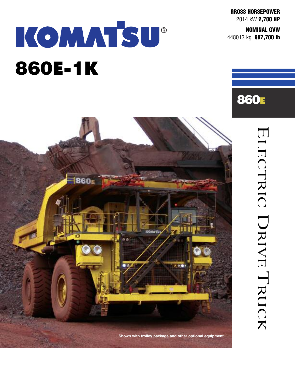**GROSS HORSEPOWER** 2014 kW **2,700 HP**

**NOMINAL GVW** 448013 kg **987,700 lb**

**860E**

 $\overline{\Box}$ 

**L**  $\Box$ 

 $\bigcap$ 

 $\Box$ 

 $\bm{\lambda}$  $\overline{}$  $\bigcap$ 

 $\bigcup$ 

 $\bm{\lambda}$  $\overline{\phantom{0}}$  $\blacktriangleleft$ 

 $\overline{\Box}$ 

 $\overline{\phantom{0}}$ 

RU

 $\bigcap$ 

K

# KOMMTSU® **860E-1K**

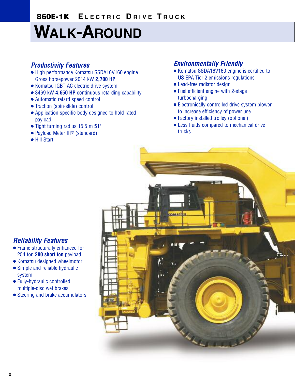## **WALK-AROUND**

### *Productivity Features*

- **●** High performance Komatsu SSDA16V160 engine Gross horsepower 2014 kW **2,700 HP**
- **●** Komatsu IGBT AC electric drive system
- **●** 3469 kW **4,650 HP** continuous retarding capability
- **●** Automatic retard speed control
- **●** Traction (spin-slide) control
- **●** Application specific body designed to hold rated payload
- **●** Tight turning radius 15.5 m **51'**
- **●** Payload Meter III® (standard)
- **●** Hill Start

### *Environmentally Friendly*

- **●** Komatsu SSDA16V160 engine is certified to US EPA Tier 2 emissions regulations
- **●** Lead-free radiator design
- **●** Fuel efficient engine with 2-stage turbocharging
- **●** Electronically controlled drive system blower to increase efficiency of power use
- **●** Factory installed trolley (optional)
- **●** Less fluids compared to mechanical drive trucks



### *Reliability Features*

- **●** Frame structurally enhanced for 254 ton **280 short ton** payload
- **●** Komatsu designed wheelmotor
- **●** Simple and reliable hydraulic system
- **●** Fully-hydraulic controlled multiple-disc wet brakes
- **●** Steering and brake accumulators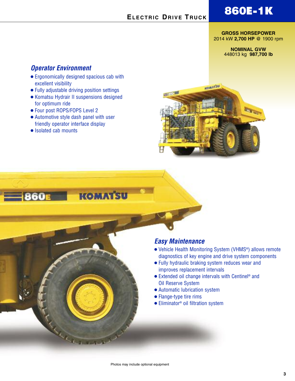### **860E-1K**

#### $E$ **LECTRIC** DRIVE TRUCK

#### **GROSS HORSEPOWER** 2014 kW **2,700 HP** @ 1900 rpm

#### **NOMINAL GVW** 448013 kg **987,700 lb**

### *Operator Environment*

- **●** Ergonomically designed spacious cab with excellent visibility
- **●** Fully adjustable driving position settings
- **●** Komatsu Hydrair II suspensions designed for optimum ride
- **●** Four post ROPS/FOPS Level 2
- **●** Automotive style dash panel with user friendly operator interface display
- **●** Isolated cab mounts



**KOMATSU** 

#### *Easy Maintenance*

- **●** Vehicle Health Monitoring System (VHMS®) allows remote diagnostics of key engine and drive system components
- **●** Fully hydraulic braking system reduces wear and improves replacement intervals
- **•** Extended oil change intervals with Centinel<sup>®</sup> and Oil Reserve System
- **●** Automatic lubrication system
- **●** Flange-type tire rims
- **●** Eliminator ® oil filtration system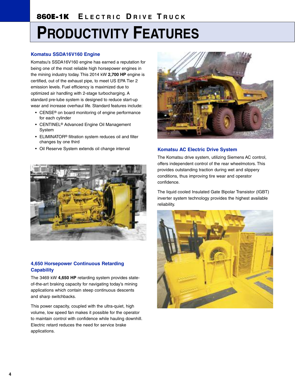## **PRODUCTIVITY FEATURES**

#### **Komatsu SSDA16V160 Engine**

Komatsu's SSDA16V160 engine has earned a reputation for being one of the most reliable high horsepower engines in the mining industry today. This 2014 kW **2,700 HP** engine is certified, out of the exhaust pipe, to meet US EPA Tier 2 emission levels. Fuel efficiency is maximized due to optimized air handling with 2-stage turbocharging. A standard pre-lube system is designed to reduce start-up wear and increase overhaul life. Standard features include:

- CENSE® on board monitoring of engine performance for each cylinder
- CENTINEL® Advanced Engine Oil Management System
- ELIMINATOR® filtration system reduces oil and filter changes by one third
- Oil Reserve System extends oil change interval



#### **4,650 Horsepower Continuous Retarding Capability**

The 3469 kW **4,650 HP** retarding system provides stateof-the-art braking capacity for navigating today's mining applications which contain steep continuous descents and sharp switchbacks.

This power capacity, coupled with the ultra-quiet, high volume, low speed fan makes it possible for the operator to maintain control with confidence while hauling downhill. Electric retard reduces the need for service brake applications.



#### **Komatsu AC Electric Drive System**

The Komatsu drive system, utilizing Siemens AC control, offers independent control of the rear wheelmotors. This provides outstanding traction during wet and slippery conditions, thus improving tire wear and operator confidence.

The liquid cooled Insulated Gate Bipolar Transistor (IGBT) inverter system technology provides the highest available reliability.

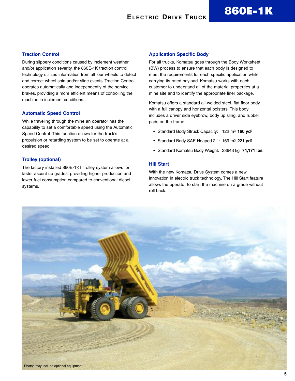#### **Traction Control**

During slippery conditions caused by inclement weather and/or application severity, the 860E-1K traction control technology utilizes information from all four wheels to detect and correct wheel spin and/or slide events. Traction Control operates automatically and independently of the service brakes, providing a more efficient means of controlling the machine in inclement conditions.

#### **Automatic Speed Control**

While traveling through the mine an operator has the capability to set a comfortable speed using the Automatic Speed Control. This function allows for the truck's propulsion or retarding system to be set to operate at a desired speed.

#### **Trolley (optional)**

The factory installed 860E-1KT trolley system allows for faster ascent up grades, providing higher production and lower fuel consumption compared to conventional diesel systems.

#### **Application Specific Body**

For all trucks, Komatsu goes through the Body Worksheet (BW) process to ensure that each body is designed to meet the requirements for each specific application while carrying its rated payload. Komatsu works with each customer to understand all of the material properties at a mine site and to identify the appropriate liner package.

Komatsu offers a standard all-welded steel, flat floor body with a full canopy and horizontal bolsters. This body includes a driver side eyebrow, body up sling, and rubber pads on the frame.

- Standard Body Struck Capacity: 122 m3 **160 yd3**
- Standard Body SAE Heaped 2:1: 169 m3 **221 yd3**
- Standard Komatsu Body Weight: 33643 kg **74,171 lbs**

#### **Hill Start**

With the new Komatsu Drive System comes a new innovation in electric truck technology. The Hill Start feature allows the operator to start the machine on a grade without roll back.

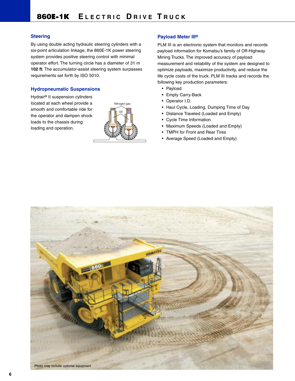#### **Steering**

By using double acting hydraulic steering cylinders with a six-point articulation linkage, the 860E-1K power steering system provides positive steering control with minimal operator effort. The turning circle has a diameter of 31 m **102 ft**. The accumulator-assist steering system surpasses requirements set forth by ISO 5010.

#### **Hydropneumatic Suspensions**

Hydrair® II suspension cylinders located at each wheel provide a smooth and comfortable ride for the operator and dampen shock loads to the chassis during loading and operation.



#### **Payload Meter III®**

PLM III is an electronic system that monitors and records payload information for Komatsu's family of Off-Highway Mining Trucks. The improved accuracy of payload measurement and reliability of the system are designed to optimize payloads, maximize productivity, and reduce the life cycle costs of the truck. PLM III tracks and records the following key production parameters:

- Payload
- Empty Carry-Back
- Operator I.D.
- Haul Cycle, Loading, Dumping Time of Day
- Distance Traveled (Loaded and Empty)
- Cycle Time Information
- Maximum Speeds (Loaded and Empty)
- TMPH for Front and Rear Tires
- Average Speed (Loaded and Empty)

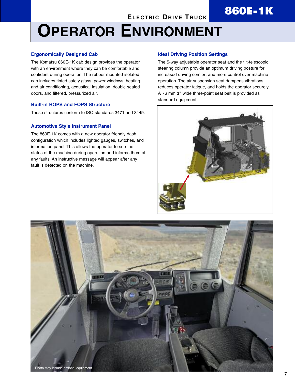## **ELECTRIC DRIVE TRUCK 860E-1K**

## **OPERATOR ENVIRONMENT**

#### **Ergonomically Designed Cab**

The Komatsu 860E-1K cab design provides the operator with an environment where they can be comfortable and confident during operation. The rubber mounted isolated cab includes tinted safety glass, power windows, heating and air conditioning, acoustical insulation, double sealed doors, and filtered, pressurized air.

#### **Built-in ROPS and FOPS Structure**

These structures conform to ISO standards 3471 and 3449.

#### **Automotive Style Instrument Panel**

The 860E-1K comes with a new operator friendly dash configuration which includes lighted gauges, switches, and information panel. This allows the operator to see the status of the machine during operation and informs them of any faults. An instructive message will appear after any fault is detected on the machine.

#### **Ideal Driving Position Settings**

The 5-way adjustable operator seat and the tilt-telescopic steering column provide an optimum driving posture for increased driving comfort and more control over machine operation. The air suspension seat dampens vibrations, reduces operator fatigue, and holds the operator securely. A 76 mm **3"** wide three-point seat belt is provided as standard equipment.



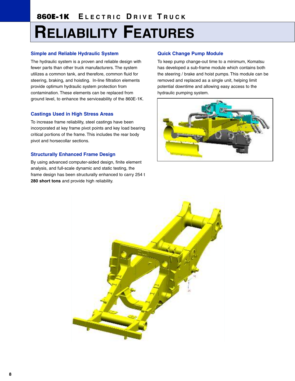## **RELIABILITY FEATURES**

#### **Simple and Reliable Hydraulic System**

The hydraulic system is a proven and reliable design with fewer parts than other truck manufacturers. The system utilizes a common tank, and therefore, common fluid for steering, braking, and hoisting. In-line filtration elements provide optimum hydraulic system protection from contamination. These elements can be replaced from ground level, to enhance the serviceability of the 860E-1K.

#### **Castings Used in High Stress Areas**

To increase frame reliability, steel castings have been incorporated at key frame pivot points and key load bearing critical portions of the frame. This includes the rear body pivot and horsecollar sections.

#### **Structurally Enhanced Frame Design**

By using advanced computer-aided design, finite element analysis, and full-scale dynamic and static testing, the frame design has been structurally enhanced to carry 254 t **280 short tons** and provide high reliability.

#### **Quick Change Pump Module**

To keep pump change-out time to a minimum, Komatsu has developed a sub-frame module which contains both the steering / brake and hoist pumps. This module can be removed and replaced as a single unit, helping limit potential downtime and allowing easy access to the hydraulic pumping system.



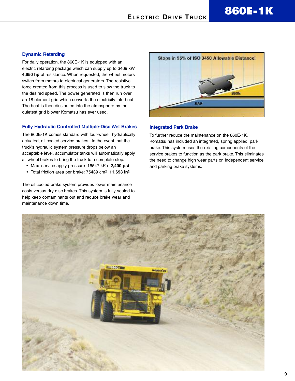#### **Dynamic Retarding**

For daily operation, the 860E-1K is equipped with an electric retarding package which can supply up to 3469 kW **4,650 hp** of resistance. When requested, the wheel motors switch from motors to electrical generators. The resistive force created from this process is used to slow the truck to the desired speed. The power generated is then run over an 18 element grid which converts the electricity into heat. The heat is then dissipated into the atmosphere by the quietest grid blower Komatsu has ever used.

#### **Fully Hydraulic Controlled Multiple-Disc Wet Brakes**

The 860E-1K comes standard with four-wheel, hydraulically actuated, oil cooled service brakes. In the event that the truck's hydraulic system pressure drops below an acceptable level, accumulator tanks will automatically apply all wheel brakes to bring the truck to a complete stop.

- Max. service apply pressure: 16547 kPa **2,400 psi**
- Total friction area per brake: 75439 cm2 **11,693 in2**

The oil cooled brake system provides lower maintenance costs versus dry disc brakes. This system is fully sealed to help keep contaminants out and reduce brake wear and maintenance down time.



#### **Integrated Park Brake**

To further reduce the maintenance on the 860E-1K, Komatsu has included an integrated, spring applied, park brake. This system uses the existing components of the service brakes to function as the park brake. This eliminates the need to change high wear parts on independent service and parking brake systems.

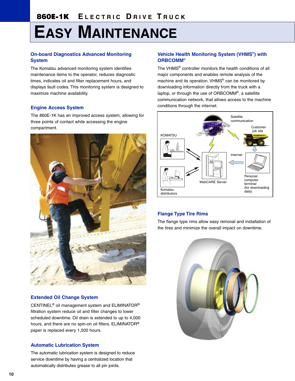## **EASY MAINTENANCE**

#### **On-board Diagnostics Advanced Monitoring System**

The Komatsu advanced monitoring system identifies maintenance items to the operator, reduces diagnostic times, indicates oil and filter replacement hours, and displays fault codes. This monitoring system is designed to maximize machine availability.

#### **Engine Access System**

The 860E-1K has an improved access system, allowing for three points of contact while accessing the engine compartment.



#### **Extended Oil Change System**

CENTINEL® oil management system and ELIMINATOR® filtration system reduce oil and filter changes to lower scheduled downtime. Oil drain is extended to up to 4,000 hours, and there are no spin-on oil filters. ELIMINATOR® paper is replaced every 1,500 hours.

#### **Automatic Lubrication System**

The automatic lubrication system is designed to reduce service downtime by having a centralized location that automatically distributes grease to all pin joints.

#### **Vehicle Health Monitoring System (VHMS**®**) with ORBCOMM**®

The VHMS® controller monitors the health conditions of all major components and enables remote analysis of the machine and its operation. VHMS® can be monitored by downloading information directly from the truck with a laptop, or through the use of ORBCOMM®, a satellite communication network, that allows access to the machine conditions through the internet.



#### **Flange Type Tire Rims**

The flange type rims allow easy removal and installation of the tires and minimize the overall impact on downtime.

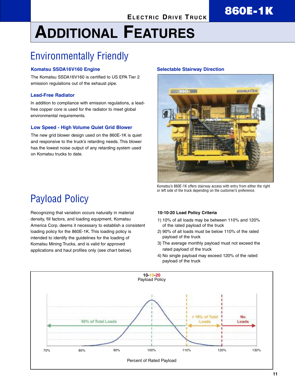## $E$  **ELECTRIC DRIVE TRUCK**

## **ADDITIONAL FEATURES**

### Environmentally Friendly

#### **Komatsu SSDA16V160 Engine**

The Komatsu SSDA16V160 is certified to US EPA Tier 2 emission regulations out of the exhaust pipe.

#### **Lead-Free Radiator**

In addition to compliance with emission regulations, a leadfree copper core is used for the radiator to meet global environmental requirements.

#### **Low Speed - High Volume Quiet Grid Blower**

The new grid blower design used on the 860E-1K is quiet and responsive to the truck's retarding needs. This blower has the lowest noise output of any retarding system used on Komatsu trucks to date.

#### **Selectable Stairway Direction**



Komatsu's 860E-1K offers stairway access with entry from either the right or left side of the truck depending on the customer's preference.

### Payload Policy

Recognizing that variation occurs naturally in material density, fill factors, and loading equipment, Komatsu America Corp. deems it necessary to establish a consistent loading policy for the 860E-1K. This loading policy is intended to identify the guidelines for the loading of Komatsu Mining Trucks, and is valid for approved applications and haul profiles only (see chart below).

#### **10-10-20 Load Policy Criteria**

- 1) 10% of all loads may be between 110% and 120% of the rated payload of the truck
- 2) 90% of all loads must be below 110% of the rated payload of the truck
- 3) The average monthly payload must not exceed the rated payload of the truck
- 4) No single payload may exceed 120% of the rated payload of the truck

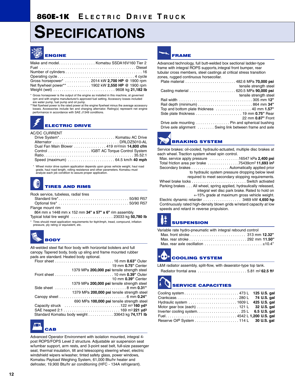## **SPECIFICATIONS**



| Make and model Komatsu SSDA16V160 Tier 2         |  |
|--------------------------------------------------|--|
|                                                  |  |
|                                                  |  |
|                                                  |  |
| Gross horsepower* 2014 kW 2,700 HP @ 1900 rpm    |  |
| Net flywheel power** 1902 kW 2,550 HP @ 1900 rpm |  |
| Weight (wet) 9608 kg 21,182 lb                   |  |
|                                                  |  |

Gross horsepower is the output of the engine as installed in this machine, at governed rpm and with engine manufacturer's approved fuel setting. Accessory losses included

are water pump, fuel pump and oil pump. \*\*Net flywheel power is the rated power at the engine flywheel minus the average accessory losses. Accessories include fan and charging alternator. Rating(s) represent net engine performance in accordance with SAE J1349 conditions.

### **ELECTRIC DRIVE**

AC/DC CURRENT

|  | Drive System* Komatsu AC Drive                                 |
|--|----------------------------------------------------------------|
|  | Alternator DRLDZ5010-AL                                        |
|  | Dual Fan Main Blower 419 m <sup>3</sup> /min <b>14.800 cfm</b> |
|  |                                                                |
|  |                                                                |
|  |                                                                |
|  |                                                                |

\* Wheel motor drive system application depends upon gross vehicle weight, haul road grade, haul road length, rolling resistance and other parameters. Komatsu must analyze each job condition to assure proper application.

#### **TIRES AND RIMS**

Rock service, tubeless, radial tires

| Standard tire*50/80 R57                                |
|--------------------------------------------------------|
|                                                        |
| Flange mount rim                                       |
| 864 mm x 1448 mm x 152 mm 34" x 57" x 6" rim assembly. |
| $0.00001$ $0.0001$<br>_____________                    |

Typical total tire weight . . . . . . . . . . . . . . . . . . . . 23033 kg **50,780 lb**

\* Tires should meet application requirements for tkph/tmph, tread, compound, inflation pressure, ply rating or equivalent, etc.



All-welded steel flat floor body with horizontal bolsters and full canopy. Tapered body, body up sling and frame mounted rubber pads are standard. Heated body optional.

| 19 mm 0.75" Center                              |
|-------------------------------------------------|
| 1379 MPa 200,000 psi tensile strength steel     |
|                                                 |
| 10 mm 0.39" Center                              |
| 1379 MPa 200,000 psi tensile strength steel     |
|                                                 |
| 1379 MPa 200,000 psi tensile strength steel     |
|                                                 |
| 690 MPa 100,000 psi tensile strength steel      |
|                                                 |
|                                                 |
| Standard Komatsu body weight 33643 kg 74,171 lb |
|                                                 |



Advanced Operator Environment with isolation mounted, integral 4 post ROPS/FOPS Level 2 structure. Adjustable air suspension seat w/lumbar support, arm rests, and 3-point seat belt, full-size passenger seat, thermal insulation, tilt and telescoping steering wheel, electric windshield wipers w/washer, tinted safety glass, power windows, Komatsu Payload Weighing System, 61,000 Btu/hr heater and defroster, 19,900 Btu/hr air conditioning (HFC - 134A refrigerant).



Advanced technology, full butt-welded box sectional ladder-type frame with integral ROPS supports, integral front bumper, rear tubular cross members, steel castings at critical stress transition zones, rugged continuous horsecollar.

|                                                         | tensile strength steel |
|---------------------------------------------------------|------------------------|
|                                                         |                        |
|                                                         | tensile strength steel |
|                                                         |                        |
|                                                         |                        |
|                                                         |                        |
|                                                         |                        |
|                                                         | 22 mm 0.87" Front      |
| Drive axle mounting  Pin and spherical bushing          |                        |
| Drive axle alignment  Swing link between frame and axle |                        |



Service brakes: oil-cooled, hydraulic-actuated, multiple disc brakes at each wheel. Traction system wheel spin control.

| Max. service apply pressure $\dots\dots\dots\dots$ 16547 kPa 2,400 psi    |
|---------------------------------------------------------------------------|
| Total friction area per brake 75439cm <sup>2</sup> 11,693 in <sup>2</sup> |
| Secondary brakes Automatically applied prior                              |
| to hydraulic system pressure dropping below level                         |
| required to meet secondary stopping requirements.                         |
|                                                                           |
| Parking brakes All wheel, spring applied, hydraulically released,         |
| integral wet disc park brake. Rated to hold on                            |
| +15% grade at maximum gross vehicle weight.                               |
|                                                                           |
| Continuously rated bigh denoity blown aride wiretard conocity at low      |

Continuously rated high-density blown grids w/retard capacity at low speeds and retard in reverse propulsion.

### **SUSPENSION**

| Variable rate hydro-pneumatic with integral rebound control |  |
|-------------------------------------------------------------|--|
|                                                             |  |
|                                                             |  |
|                                                             |  |

### **COOLING SYSTEM**

L&M radiator assembly, split-flow, with deaerator-type top tank.

| Radiator frontal area 5.81 m <sup>2</sup> 62.5 ft <sup>2</sup> |  |
|----------------------------------------------------------------|--|
|                                                                |  |

## **SERVICE CAPACITIES**

| Cooling system 473 L 125 U.S. gal                                        |  |
|--------------------------------------------------------------------------|--|
|                                                                          |  |
|                                                                          |  |
| Motor gear box (each) $\dots\dots\dots\dots\dots\dots$ 121 L 32 U.S. gal |  |
|                                                                          |  |
| Fuel4542 L 1,200 U.S. gal                                                |  |
|                                                                          |  |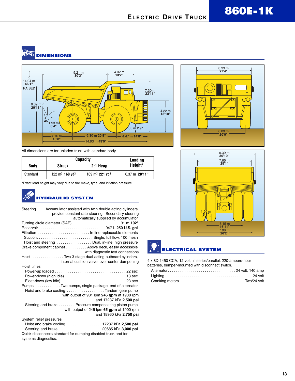**RATION DIMENSIONS**



All dimensions are for unladen truck with standard body.

|             | <b>Capacity</b>                       |                                        | Loading                 |  |
|-------------|---------------------------------------|----------------------------------------|-------------------------|--|
| <b>Body</b> | <b>Struck</b>                         | 2:1 Heap                               | Height*                 |  |
| Standard    | $122 \text{ m}^3$ 160 vd <sup>3</sup> | 169 m <sup>3</sup> 221 yd <sup>3</sup> | $6.37 \text{ m}$ 20'11" |  |

\*Exact load height may vary due to tire make, type, and inflation pressure.

#### **HYDRAULIC SYSTEM**

| Steering Accumulator assisted with twin double acting cylinders<br>provide constant rate steering. Secondary steering<br>automatically supplied by accumulator. |
|-----------------------------------------------------------------------------------------------------------------------------------------------------------------|
| Turning circle diameter $(SAE)$ 31 m 102'                                                                                                                       |
|                                                                                                                                                                 |
|                                                                                                                                                                 |
|                                                                                                                                                                 |
| Hoist and steering Dual, in-line, high pressure                                                                                                                 |
| Brake component cabinet Above deck, easily accessible                                                                                                           |
| with diagnostic test connections                                                                                                                                |
| Hoist. Two 3-stage dual-acting outboard cylinders,                                                                                                              |
| internal cushion valve, over-center dampening                                                                                                                   |
| Hoist times                                                                                                                                                     |
|                                                                                                                                                                 |
|                                                                                                                                                                 |
|                                                                                                                                                                 |
| Pumps Two pumps, single package, end of alternator                                                                                                              |
| Hoist and brake cooling Tandem gear pump                                                                                                                        |
| with output of 931 lpm 246 gpm at 1900 rpm                                                                                                                      |
| and 17237 kPa 2,500 psi                                                                                                                                         |
| Steering and brake Pressure-compensating piston pump                                                                                                            |
| with output of 246 lpm 65 gpm at 1900 rpm                                                                                                                       |
| and 18960 kPa 2,750 psi                                                                                                                                         |
| System relief pressures                                                                                                                                         |
| Hoist and brake cooling $\ldots \ldots \ldots \ldots \ldots$ 17237 kPa 2,500 psi                                                                                |
|                                                                                                                                                                 |
| Quick disconnects standard for dumping disabled truck and for                                                                                                   |
| systems diagnostics.                                                                                                                                            |







4 x 8D 1450 CCA, 12 volt, in series/parallel, 220-ampere-hour batteries, bumper-mounted with disconnect switch.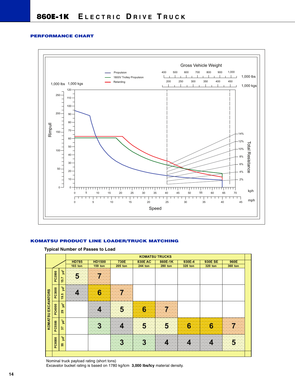#### **PERFORMANCE CHART**



#### **KOMATSU PRODUCT LINE LOADER/TRUCK MATCHING**

|  |  | <b>Typical Number of Passes to Load</b> |  |  |  |  |
|--|--|-----------------------------------------|--|--|--|--|
|--|--|-----------------------------------------|--|--|--|--|

|                           |               |                      |                |               |                |                  | <b>KOMATSU TRUCKS</b>   |         |                |         |  |
|---------------------------|---------------|----------------------|----------------|---------------|----------------|------------------|-------------------------|---------|----------------|---------|--|
|                           |               |                      | <b>HD785</b>   | <b>HD1500</b> | 730E           | <b>830E AC</b>   | 860E-1K                 | 930E-4  | <b>930E SE</b> | 960E    |  |
|                           |               |                      | <b>103 ton</b> | 159 ton       | <b>205 ton</b> | 244 ton          | <b>280 ton</b>          | 320 ton | 320 ton        | 360 ton |  |
|                           | PC2000        | $yd^3$<br>15.7       | 5.             |               |                |                  |                         |         |                |         |  |
|                           | PC3000        | $yd^3$<br>19.5       |                | 6             |                |                  |                         |         |                |         |  |
| <b>KOMATSU EXCAVATORS</b> | PC4000        | y <sup>3</sup><br>ನಿ |                |               | <u>:5.</u>     | $\boldsymbol{6}$ |                         |         |                |         |  |
|                           | PC5500        | y <sup>3</sup><br>57 |                |               |                | $\overline{5}$   | $\overline{\mathbf{5}}$ | 6       | $\bf{6}$       |         |  |
|                           | <b>PC8000</b> | y <sup>3</sup><br>55 |                |               |                | 3                |                         |         | 4              | 5:      |  |
|                           |               |                      |                |               |                |                  |                         |         |                |         |  |

Nominal truck payload rating (short tons)

Excavator bucket rating is based on 1780 kg/lcm **3,000 lbs/lcy** material density.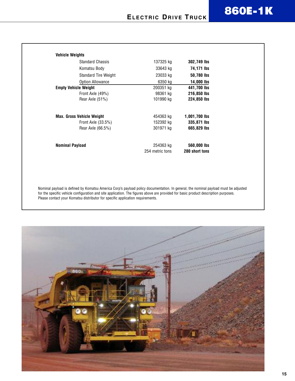| <b>Vehicle Weights</b>           |                 |                   |
|----------------------------------|-----------------|-------------------|
| <b>Standard Chassis</b>          | 137325 kg       | 302,749 lbs       |
| Komatsu Body                     | 33643 kg        | 74,171 lbs        |
| <b>Standard Tire Weight</b>      | 23033 kg        | 50,780 lbs        |
| <b>Option Allowance</b>          | 6350 kg         | <b>14,000 lbs</b> |
| <b>Empty Vehicle Weight</b>      | 200351 kg       | 441,700 lbs       |
| Front Axle (49%)                 | 98361 kg        | 216,850 lbs       |
| Rear Axle (51%)                  | 101990 kg       | 224,850 lbs       |
| <b>Max. Gross Vehicle Weight</b> | 454363 kg       | 1,001,700 lbs     |
| Front Axle $(33.5%)$             | 152392 kg       | 335,871 lbs       |
| Rear Axle (66.5%)                | 301971 kg       | 665,829 lbs       |
| Nominal Payload                  | 254363 kg       | 560,000 lbs       |
|                                  | 254 metric tons | 280 short tons    |

Nominal payload is defined by Komatsu America Corp's payload policy documentation. In general, the nominal payload must be adjusted for the specific vehicle configuration and site application. The figures above are provided for basic product description purposes. Please contact your Komatsu distributor for specific application requirements.